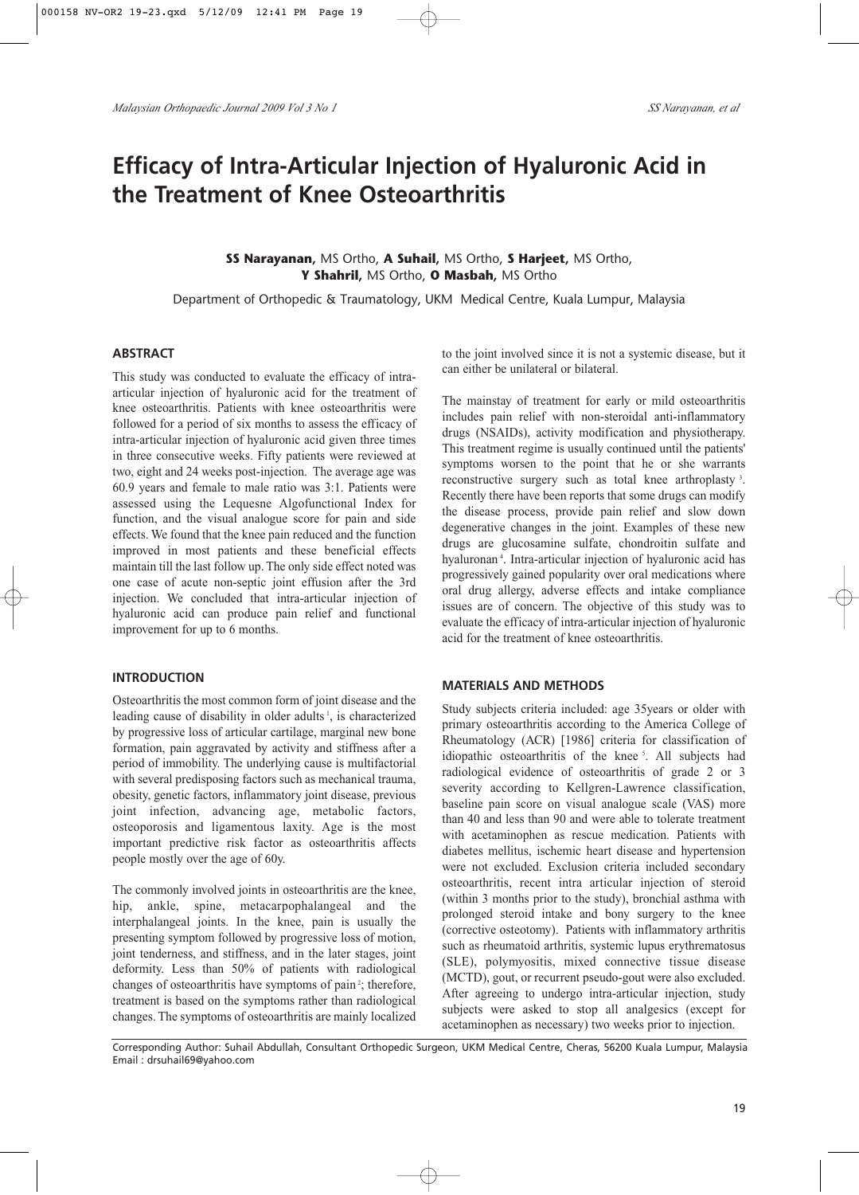# **Efficacy of Intra-Articular Injection of Hyaluronic Acid in the Treatment of Knee Osteoarthritis**

## **SS Narayanan,** MS Ortho, **A Suhail,** MS Ortho, **S Harjeet,** MS Ortho, **Y Shahril,** MS Ortho, **O Masbah,** MS Ortho

Department of Orthopedic & Traumatology, UKM Medical Centre, Kuala Lumpur, Malaysia

#### **ABSTRACT**

This study was conducted to evaluate the efficacy of intraarticular injection of hyaluronic acid for the treatment of knee osteoarthritis. Patients with knee osteoarthritis were followed for a period of six months to assess the efficacy of intra-articular injection of hyaluronic acid given three times in three consecutive weeks. Fifty patients were reviewed at two, eight and 24 weeks post-injection. The average age was 60.9 years and female to male ratio was 3:1. Patients were assessed using the Lequesne Algofunctional Index for function, and the visual analogue score for pain and side effects. We found that the knee pain reduced and the function improved in most patients and these beneficial effects maintain till the last follow up. The only side effect noted was one case of acute non-septic joint effusion after the 3rd injection. We concluded that intra-articular injection of hyaluronic acid can produce pain relief and functional improvement for up to 6 months.

#### **INTRODUCTION**

Osteoarthritis the most common form of joint disease and the leading cause of disability in older adults<sup>1</sup>, is characterized by progressive loss of articular cartilage, marginal new bone formation, pain aggravated by activity and stiffness after a period of immobility. The underlying cause is multifactorial with several predisposing factors such as mechanical trauma, obesity, genetic factors, inflammatory joint disease, previous joint infection, advancing age, metabolic factors, osteoporosis and ligamentous laxity. Age is the most important predictive risk factor as osteoarthritis affects people mostly over the age of 60y.

The commonly involved joints in osteoarthritis are the knee, hip, ankle, spine, metacarpophalangeal and the interphalangeal joints. In the knee, pain is usually the presenting symptom followed by progressive loss of motion, joint tenderness, and stiffness, and in the later stages, joint deformity. Less than 50% of patients with radiological changes of osteoarthritis have symptoms of pain<sup>2</sup>; therefore, treatment is based on the symptoms rather than radiological changes. The symptoms of osteoarthritis are mainly localized to the joint involved since it is not a systemic disease, but it can either be unilateral or bilateral.

The mainstay of treatment for early or mild osteoarthritis includes pain relief with non-steroidal anti-inflammatory drugs (NSAIDs), activity modification and physiotherapy. This treatment regime is usually continued until the patients' symptoms worsen to the point that he or she warrants reconstructive surgery such as total knee arthroplasty <sup>3</sup> . Recently there have been reports that some drugs can modify the disease process, provide pain relief and slow down degenerative changes in the joint. Examples of these new drugs are glucosamine sulfate, chondroitin sulfate and hyaluronan <sup>4</sup> . Intra-articular injection of hyaluronic acid has progressively gained popularity over oral medications where oral drug allergy, adverse effects and intake compliance issues are of concern. The objective of this study was to evaluate the efficacy of intra-articular injection of hyaluronic acid for the treatment of knee osteoarthritis.

#### **MATERIALS AND METHODS**

Study subjects criteria included: age 35years or older with primary osteoarthritis according to the America College of Rheumatology (ACR) [1986] criteria for classification of idiopathic osteoarthritis of the knee<sup>5</sup>. All subjects had radiological evidence of osteoarthritis of grade 2 or 3 severity according to Kellgren-Lawrence classification, baseline pain score on visual analogue scale (VAS) more than 40 and less than 90 and were able to tolerate treatment with acetaminophen as rescue medication. Patients with diabetes mellitus, ischemic heart disease and hypertension were not excluded. Exclusion criteria included secondary osteoarthritis, recent intra articular injection of steroid (within 3 months prior to the study), bronchial asthma with prolonged steroid intake and bony surgery to the knee (corrective osteotomy). Patients with inflammatory arthritis such as rheumatoid arthritis, systemic lupus erythrematosus (SLE), polymyositis, mixed connective tissue disease (MCTD), gout, or recurrent pseudo-gout were also excluded. After agreeing to undergo intra-articular injection, study subjects were asked to stop all analgesics (except for acetaminophen as necessary) two weeks prior to injection.

Corresponding Author: Suhail Abdullah, Consultant Orthopedic Surgeon, UKM Medical Centre, Cheras, 56200 Kuala Lumpur, Malaysia Email : drsuhail69@yahoo.com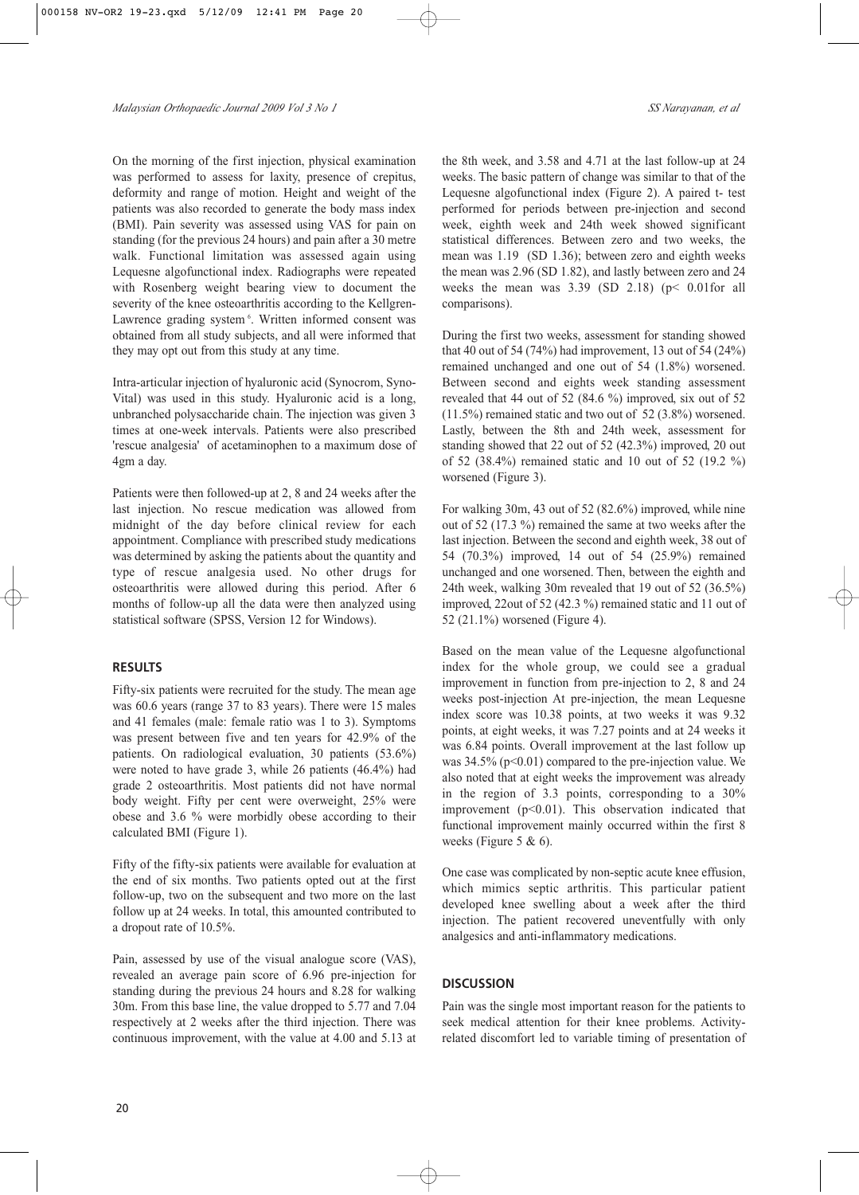On the morning of the first injection, physical examination was performed to assess for laxity, presence of crepitus, deformity and range of motion. Height and weight of the patients was also recorded to generate the body mass index (BMI). Pain severity was assessed using VAS for pain on standing (for the previous 24 hours) and pain after a 30 metre walk. Functional limitation was assessed again using Lequesne algofunctional index. Radiographs were repeated with Rosenberg weight bearing view to document the severity of the knee osteoarthritis according to the Kellgren-Lawrence grading system<sup>6</sup>. Written informed consent was obtained from all study subjects, and all were informed that they may opt out from this study at any time.

Intra-articular injection of hyaluronic acid (Synocrom, Syno-Vital) was used in this study. Hyaluronic acid is a long, unbranched polysaccharide chain. The injection was given 3 times at one-week intervals. Patients were also prescribed 'rescue analgesia' of acetaminophen to a maximum dose of 4gm a day.

Patients were then followed-up at 2, 8 and 24 weeks after the last injection. No rescue medication was allowed from midnight of the day before clinical review for each appointment. Compliance with prescribed study medications was determined by asking the patients about the quantity and type of rescue analgesia used. No other drugs for osteoarthritis were allowed during this period. After 6 months of follow-up all the data were then analyzed using statistical software (SPSS, Version 12 for Windows).

# **RESULTS**

Fifty-six patients were recruited for the study. The mean age was 60.6 years (range 37 to 83 years). There were 15 males and 41 females (male: female ratio was 1 to 3). Symptoms was present between five and ten years for 42.9% of the patients. On radiological evaluation, 30 patients (53.6%) were noted to have grade 3, while 26 patients (46.4%) had grade 2 osteoarthritis. Most patients did not have normal body weight. Fifty per cent were overweight, 25% were obese and 3.6 % were morbidly obese according to their calculated BMI (Figure 1).

Fifty of the fifty-six patients were available for evaluation at the end of six months. Two patients opted out at the first follow-up, two on the subsequent and two more on the last follow up at 24 weeks. In total, this amounted contributed to a dropout rate of 10.5%.

Pain, assessed by use of the visual analogue score (VAS), revealed an average pain score of 6.96 pre-injection for standing during the previous 24 hours and 8.28 for walking 30m. From this base line, the value dropped to 5.77 and 7.04 respectively at 2 weeks after the third injection. There was continuous improvement, with the value at 4.00 and 5.13 at the 8th week, and 3.58 and 4.71 at the last follow-up at 24 weeks. The basic pattern of change was similar to that of the Lequesne algofunctional index (Figure 2). A paired t- test performed for periods between pre-injection and second week, eighth week and 24th week showed significant statistical differences. Between zero and two weeks, the mean was 1.19 (SD 1.36); between zero and eighth weeks the mean was 2.96 (SD 1.82), and lastly between zero and 24 weeks the mean was  $3.39$  (SD 2.18) ( $p$ < 0.01for all comparisons).

During the first two weeks, assessment for standing showed that 40 out of 54 (74%) had improvement, 13 out of 54 (24%) remained unchanged and one out of 54 (1.8%) worsened. Between second and eights week standing assessment revealed that 44 out of 52 (84.6 %) improved, six out of 52 (11.5%) remained static and two out of 52 (3.8%) worsened. Lastly, between the 8th and 24th week, assessment for standing showed that 22 out of 52 (42.3%) improved, 20 out of 52 (38.4%) remained static and 10 out of 52 (19.2 %) worsened (Figure 3).

For walking 30m, 43 out of 52 (82.6%) improved, while nine out of 52 (17.3 %) remained the same at two weeks after the last injection. Between the second and eighth week, 38 out of 54 (70.3%) improved, 14 out of 54 (25.9%) remained unchanged and one worsened. Then, between the eighth and 24th week, walking 30m revealed that 19 out of 52 (36.5%) improved, 22out of 52 (42.3 %) remained static and 11 out of 52 (21.1%) worsened (Figure 4).

Based on the mean value of the Lequesne algofunctional index for the whole group, we could see a gradual improvement in function from pre-injection to 2, 8 and 24 weeks post-injection At pre-injection, the mean Lequesne index score was 10.38 points, at two weeks it was 9.32 points, at eight weeks, it was 7.27 points and at 24 weeks it was 6.84 points. Overall improvement at the last follow up was  $34.5\%$  (p<0.01) compared to the pre-injection value. We also noted that at eight weeks the improvement was already in the region of 3.3 points, corresponding to a 30% improvement  $(p<0.01)$ . This observation indicated that functional improvement mainly occurred within the first 8 weeks (Figure 5 & 6).

One case was complicated by non-septic acute knee effusion, which mimics septic arthritis. This particular patient developed knee swelling about a week after the third injection. The patient recovered uneventfully with only analgesics and anti-inflammatory medications.

# **DISCUSSION**

Pain was the single most important reason for the patients to seek medical attention for their knee problems. Activityrelated discomfort led to variable timing of presentation of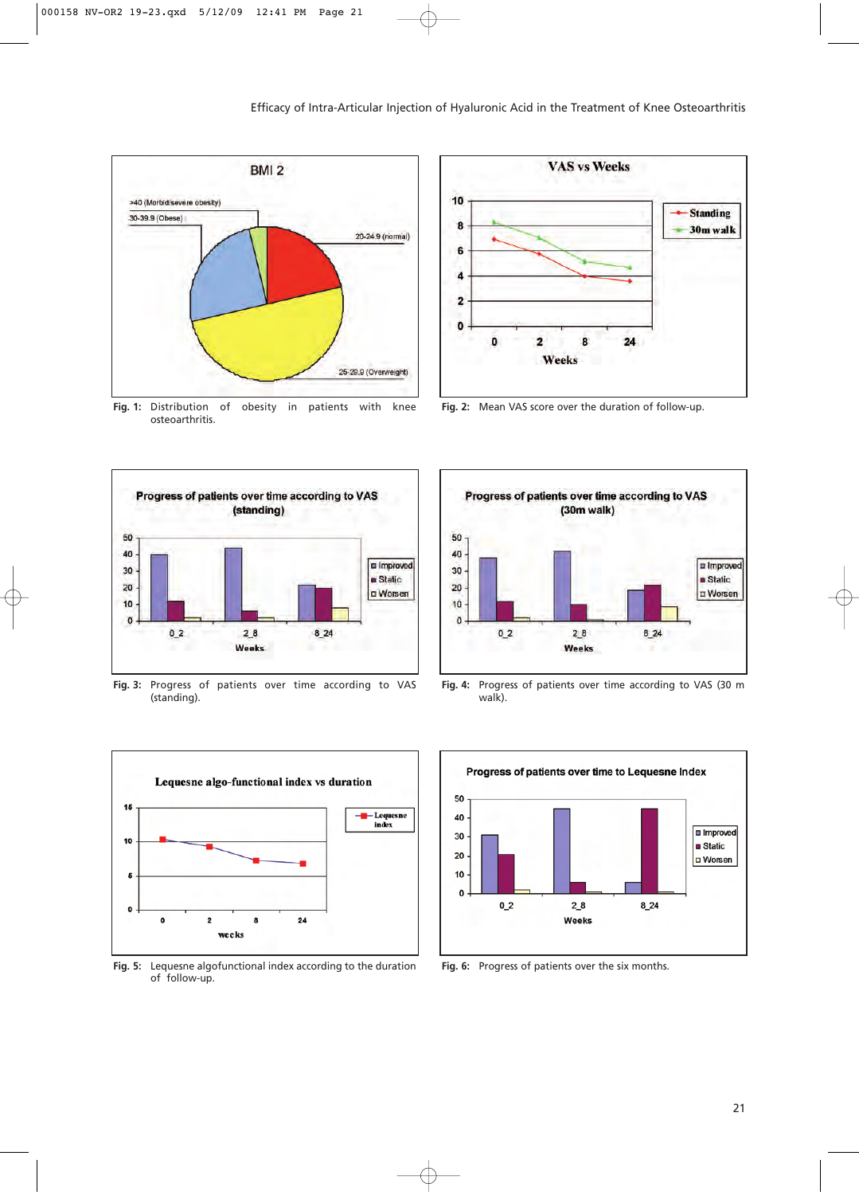

**Fig. 1:** Distribution of obesity in patients with knee osteoarthritis.



**Fig. 3:** Progress of patients over time according to VAS (standing).



**Fig. 5:** Lequesne algofunctional index according to the duration of follow-up.



**Fig. 2:** Mean VAS score over the duration of follow-up.



**Fig. 4:** Progress of patients over time according to VAS (30 m walk).



**Fig. 6:** Progress of patients over the six months.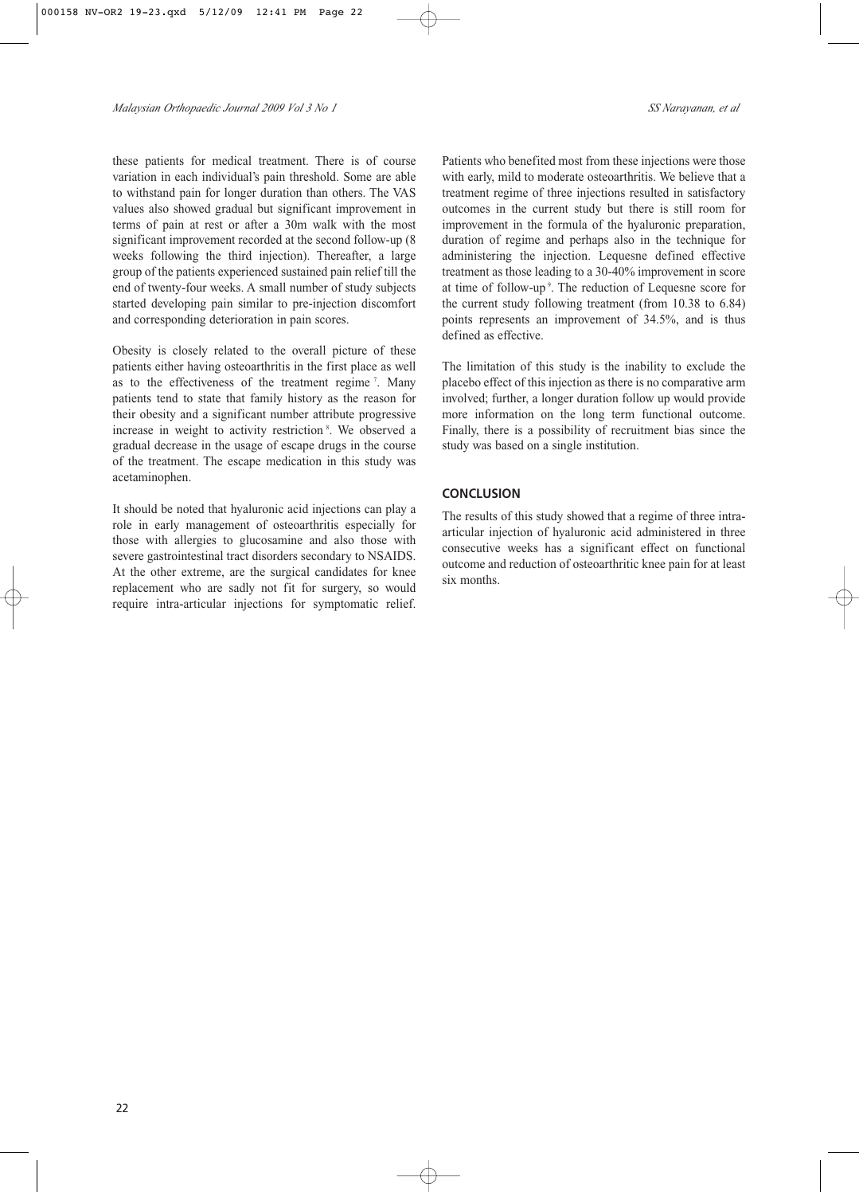these patients for medical treatment. There is of course variation in each individual's pain threshold. Some are able to withstand pain for longer duration than others. The VAS values also showed gradual but significant improvement in terms of pain at rest or after a 30m walk with the most significant improvement recorded at the second follow-up (8 weeks following the third injection). Thereafter, a large group of the patients experienced sustained pain relief till the end of twenty-four weeks. A small number of study subjects started developing pain similar to pre-injection discomfort and corresponding deterioration in pain scores.

Obesity is closely related to the overall picture of these patients either having osteoarthritis in the first place as well as to the effectiveness of the treatment regime<sup>7</sup>. Many patients tend to state that family history as the reason for their obesity and a significant number attribute progressive increase in weight to activity restriction<sup>8</sup>. We observed a gradual decrease in the usage of escape drugs in the course of the treatment. The escape medication in this study was acetaminophen.

It should be noted that hyaluronic acid injections can play a role in early management of osteoarthritis especially for those with allergies to glucosamine and also those with severe gastrointestinal tract disorders secondary to NSAIDS. At the other extreme, are the surgical candidates for knee replacement who are sadly not fit for surgery, so would require intra-articular injections for symptomatic relief. Patients who benefited most from these injections were those with early, mild to moderate osteoarthritis. We believe that a treatment regime of three injections resulted in satisfactory outcomes in the current study but there is still room for improvement in the formula of the hyaluronic preparation, duration of regime and perhaps also in the technique for administering the injection. Lequesne defined effective treatment as those leading to a 30-40% improvement in score at time of follow-up<sup>9</sup>. The reduction of Lequesne score for the current study following treatment (from 10.38 to 6.84) points represents an improvement of 34.5%, and is thus defined as effective.

The limitation of this study is the inability to exclude the placebo effect of this injection as there is no comparative arm involved; further, a longer duration follow up would provide more information on the long term functional outcome. Finally, there is a possibility of recruitment bias since the study was based on a single institution.

## **CONCLUSION**

The results of this study showed that a regime of three intraarticular injection of hyaluronic acid administered in three consecutive weeks has a significant effect on functional outcome and reduction of osteoarthritic knee pain for at least six months.